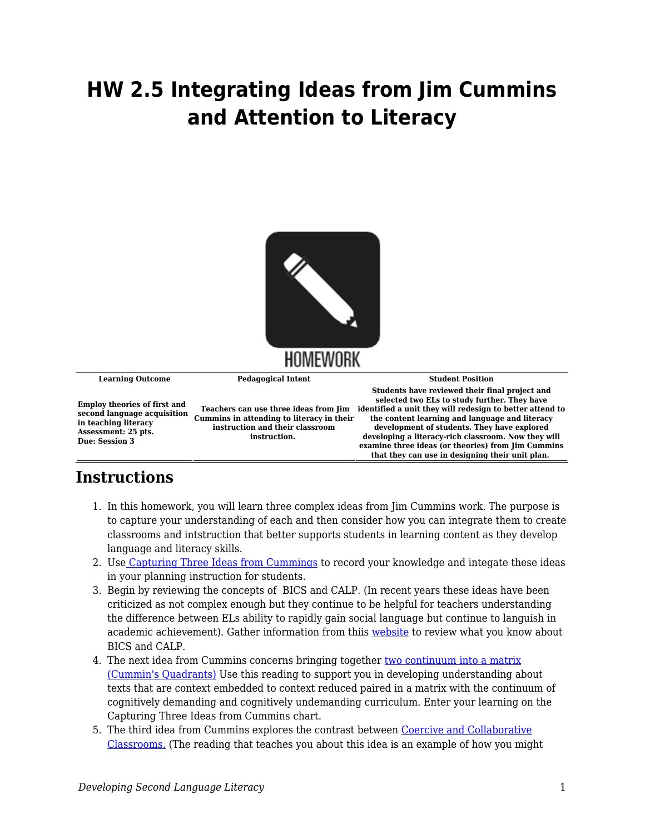## **HW 2.5 Integrating Ideas from Jim Cummins and Attention to Literacy**



## **Instructions**

- 1. In this homework, you will learn three complex ideas from Jim Cummins work. The purpose is to capture your understanding of each and then consider how you can integrate them to create classrooms and intstruction that better supports students in learning content as they develop language and literacy skills.
- 2. Use [Capturing Three Ideas from Cummings](https://byu.box.com/s/0nng3wnof38pznoqsycqm353lx7ao2mj) to record your knowledge and integate these ideas in your planning instruction for students.
- 3. Begin by reviewing the concepts of BICS and CALP. (In recent years these ideas have been criticized as not complex enough but they continue to be helpful for teachers understanding the difference between ELs ability to rapidly gain social language but continue to languish in academic achievement). Gather information from thiis [website](https://www.colorincolorado.org/faq/what-are-bics-and-calp) to review what you know about BICS and CALP.
- 4. The next idea from Cummins concerns bringing together [two continuum into a matrix](https://byu.box.com/s/r97hakizl1gije220ie8y3ztf0ox11i5) [\(Cummin's Quadrants\)](https://byu.box.com/s/r97hakizl1gije220ie8y3ztf0ox11i5) Use this reading to support you in developing understanding about texts that are context embedded to context reduced paired in a matrix with the continuum of cognitively demanding and cognitively undemanding curriculum. Enter your learning on the Capturing Three Ideas from Cummins chart.
- 5. The third idea from Cummins explores the contrast between [Coercive and Collaborative](https://byu.box.com/s/gi6xnkie3srpfy8z73d8drwjgf6856rg) [Classrooms.](https://byu.box.com/s/gi6xnkie3srpfy8z73d8drwjgf6856rg) (The reading that teaches you about this idea is an example of how you might